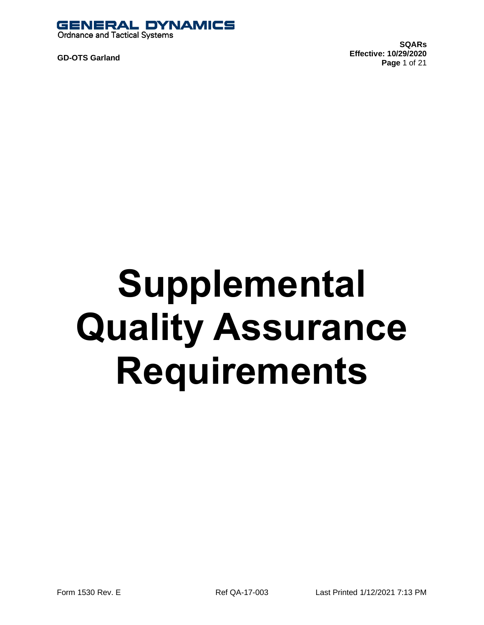

**SQARs Effective: 10/29/2020 Page** 1 of 21

# **Supplemental Quality Assurance Requirements**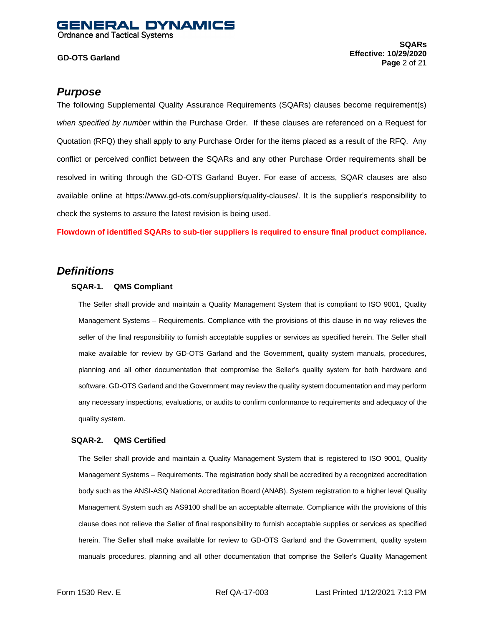IERAL DYNAMICS

**Ordnance and Tactical Systems** 

#### **GD-OTS Garland**

#### *Purpose*

The following Supplemental Quality Assurance Requirements (SQARs) clauses become requirement(s) *when specified by number* within the Purchase Order. If these clauses are referenced on a Request for Quotation (RFQ) they shall apply to any Purchase Order for the items placed as a result of the RFQ. Any conflict or perceived conflict between the SQARs and any other Purchase Order requirements shall be resolved in writing through the GD-OTS Garland Buyer. For ease of access, SQAR clauses are also available online at https://www.gd-ots.com/suppliers/quality-clauses/. It is the supplier's responsibility to check the systems to assure the latest revision is being used.

**Flowdown of identified SQARs to sub-tier suppliers is required to ensure final product compliance.**

#### *Definitions*

#### **SQAR-1. QMS Compliant**

The Seller shall provide and maintain a Quality Management System that is compliant to ISO 9001, Quality Management Systems – Requirements. Compliance with the provisions of this clause in no way relieves the seller of the final responsibility to furnish acceptable supplies or services as specified herein. The Seller shall make available for review by GD-OTS Garland and the Government, quality system manuals, procedures, planning and all other documentation that compromise the Seller's quality system for both hardware and software. GD-OTS Garland and the Government may review the quality system documentation and may perform any necessary inspections, evaluations, or audits to confirm conformance to requirements and adequacy of the quality system.

#### **SQAR-2. QMS Certified**

The Seller shall provide and maintain a Quality Management System that is registered to ISO 9001, Quality Management Systems – Requirements. The registration body shall be accredited by a recognized accreditation body such as the ANSI-ASQ National Accreditation Board (ANAB). System registration to a higher level Quality Management System such as AS9100 shall be an acceptable alternate. Compliance with the provisions of this clause does not relieve the Seller of final responsibility to furnish acceptable supplies or services as specified herein. The Seller shall make available for review to GD-OTS Garland and the Government, quality system manuals procedures, planning and all other documentation that comprise the Seller's Quality Management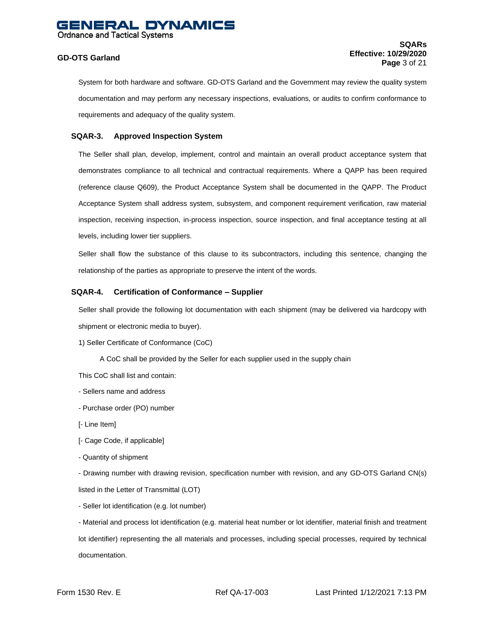#### **SQARs Effective: 10/29/2020 Page** 3 of 21

System for both hardware and software. GD-OTS Garland and the Government may review the quality system documentation and may perform any necessary inspections, evaluations, or audits to confirm conformance to requirements and adequacy of the quality system.

#### **SQAR-3. Approved Inspection System**

The Seller shall plan, develop, implement, control and maintain an overall product acceptance system that demonstrates compliance to all technical and contractual requirements. Where a QAPP has been required (reference clause Q609), the Product Acceptance System shall be documented in the QAPP. The Product Acceptance System shall address system, subsystem, and component requirement verification, raw material inspection, receiving inspection, in-process inspection, source inspection, and final acceptance testing at all levels, including lower tier suppliers.

Seller shall flow the substance of this clause to its subcontractors, including this sentence, changing the relationship of the parties as appropriate to preserve the intent of the words.

#### **SQAR-4. Certification of Conformance – Supplier**

Seller shall provide the following lot documentation with each shipment (may be delivered via hardcopy with shipment or electronic media to buyer).

1) Seller Certificate of Conformance (CoC)

A CoC shall be provided by the Seller for each supplier used in the supply chain

This CoC shall list and contain:

- Sellers name and address
- Purchase order (PO) number
- [- Line Item]
- [- Cage Code, if applicable]
- Quantity of shipment

- Drawing number with drawing revision, specification number with revision, and any GD-OTS Garland CN(s) listed in the Letter of Transmittal (LOT)

- Seller lot identification (e.g. lot number)

- Material and process lot identification (e.g. material heat number or lot identifier, material finish and treatment lot identifier) representing the all materials and processes, including special processes, required by technical documentation.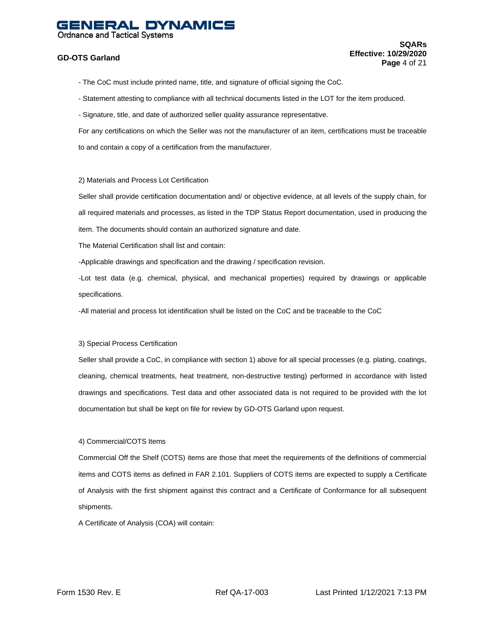# IERAL DYNAMICS

**Ordnance and Tactical Systems** 

#### **GD-OTS Garland**

#### **SQARs Effective: 10/29/2020 Page** 4 of 21

- The CoC must include printed name, title, and signature of official signing the CoC.
- Statement attesting to compliance with all technical documents listed in the LOT for the item produced.
- Signature, title, and date of authorized seller quality assurance representative.

For any certifications on which the Seller was not the manufacturer of an item, certifications must be traceable to and contain a copy of a certification from the manufacturer.

#### 2) Materials and Process Lot Certification

Seller shall provide certification documentation and/ or objective evidence, at all levels of the supply chain, for all required materials and processes, as listed in the TDP Status Report documentation, used in producing the item. The documents should contain an authorized signature and date.

The Material Certification shall list and contain:

-Applicable drawings and specification and the drawing / specification revision.

-Lot test data (e.g. chemical, physical, and mechanical properties) required by drawings or applicable specifications.

-All material and process lot identification shall be listed on the CoC and be traceable to the CoC

#### 3) Special Process Certification

Seller shall provide a CoC, in compliance with section 1) above for all special processes (e.g. plating, coatings, cleaning, chemical treatments, heat treatment, non-destructive testing) performed in accordance with listed drawings and specifications. Test data and other associated data is not required to be provided with the lot documentation but shall be kept on file for review by GD-OTS Garland upon request.

#### 4) Commercial/COTS Items

Commercial Off the Shelf (COTS) items are those that meet the requirements of the definitions of commercial items and COTS items as defined in FAR 2.101. Suppliers of COTS items are expected to supply a Certificate of Analysis with the first shipment against this contract and a Certificate of Conformance for all subsequent shipments.

A Certificate of Analysis (COA) will contain: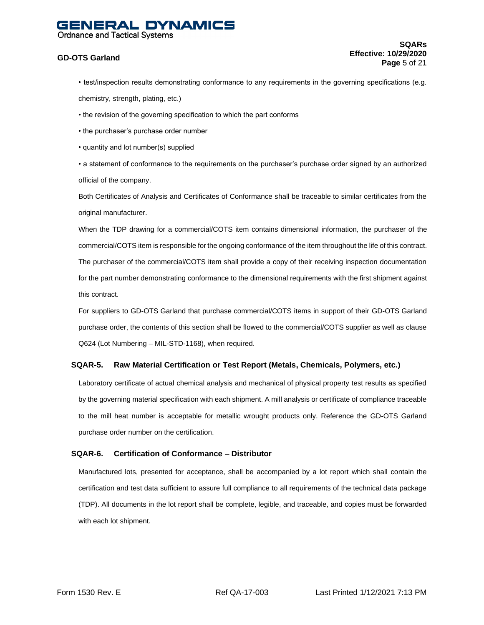### IERAL DYNAMICS

**Ordnance and Tactical Systems** 

#### **GD-OTS Garland**

- test/inspection results demonstrating conformance to any requirements in the governing specifications (e.g. chemistry, strength, plating, etc.)
- the revision of the governing specification to which the part conforms
- the purchaser's purchase order number
- quantity and lot number(s) supplied

• a statement of conformance to the requirements on the purchaser's purchase order signed by an authorized official of the company.

Both Certificates of Analysis and Certificates of Conformance shall be traceable to similar certificates from the original manufacturer.

When the TDP drawing for a commercial/COTS item contains dimensional information, the purchaser of the commercial/COTS item is responsible for the ongoing conformance of the item throughout the life of this contract. The purchaser of the commercial/COTS item shall provide a copy of their receiving inspection documentation for the part number demonstrating conformance to the dimensional requirements with the first shipment against this contract.

For suppliers to GD-OTS Garland that purchase commercial/COTS items in support of their GD-OTS Garland purchase order, the contents of this section shall be flowed to the commercial/COTS supplier as well as clause Q624 (Lot Numbering – MIL-STD-1168), when required.

#### **SQAR-5. Raw Material Certification or Test Report (Metals, Chemicals, Polymers, etc.)**

Laboratory certificate of actual chemical analysis and mechanical of physical property test results as specified by the governing material specification with each shipment. A mill analysis or certificate of compliance traceable to the mill heat number is acceptable for metallic wrought products only. Reference the GD-OTS Garland purchase order number on the certification.

#### **SQAR-6. Certification of Conformance – Distributor**

Manufactured lots, presented for acceptance, shall be accompanied by a lot report which shall contain the certification and test data sufficient to assure full compliance to all requirements of the technical data package (TDP). All documents in the lot report shall be complete, legible, and traceable, and copies must be forwarded with each lot shipment.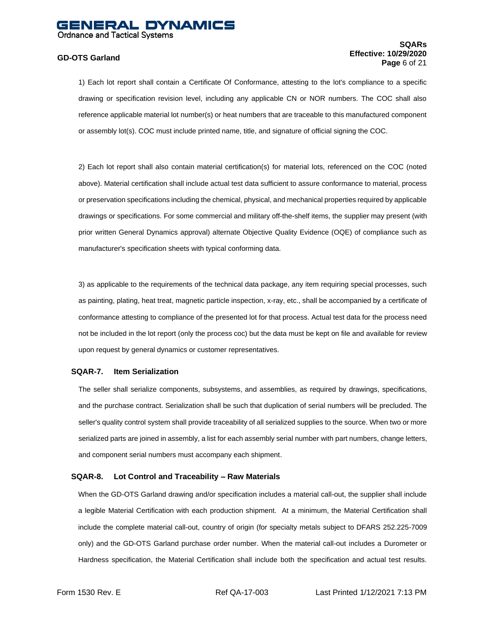#### **SQARs Effective: 10/29/2020 Page** 6 of 21

1) Each lot report shall contain a Certificate Of Conformance, attesting to the lot's compliance to a specific drawing or specification revision level, including any applicable CN or NOR numbers. The COC shall also reference applicable material lot number(s) or heat numbers that are traceable to this manufactured component or assembly lot(s). COC must include printed name, title, and signature of official signing the COC.

2) Each lot report shall also contain material certification(s) for material lots, referenced on the COC (noted above). Material certification shall include actual test data sufficient to assure conformance to material, process or preservation specifications including the chemical, physical, and mechanical properties required by applicable drawings or specifications. For some commercial and military off-the-shelf items, the supplier may present (with prior written General Dynamics approval) alternate Objective Quality Evidence (OQE) of compliance such as manufacturer's specification sheets with typical conforming data.

3) as applicable to the requirements of the technical data package, any item requiring special processes, such as painting, plating, heat treat, magnetic particle inspection, x-ray, etc., shall be accompanied by a certificate of conformance attesting to compliance of the presented lot for that process. Actual test data for the process need not be included in the lot report (only the process coc) but the data must be kept on file and available for review upon request by general dynamics or customer representatives.

#### **SQAR-7. Item Serialization**

The seller shall serialize components, subsystems, and assemblies, as required by drawings, specifications, and the purchase contract. Serialization shall be such that duplication of serial numbers will be precluded. The seller's quality control system shall provide traceability of all serialized supplies to the source. When two or more serialized parts are joined in assembly, a list for each assembly serial number with part numbers, change letters, and component serial numbers must accompany each shipment.

#### **SQAR-8. Lot Control and Traceability – Raw Materials**

When the GD-OTS Garland drawing and/or specification includes a material call-out, the supplier shall include a legible Material Certification with each production shipment. At a minimum, the Material Certification shall include the complete material call-out, country of origin (for specialty metals subject to DFARS 252.225-7009 only) and the GD-OTS Garland purchase order number. When the material call-out includes a Durometer or Hardness specification, the Material Certification shall include both the specification and actual test results.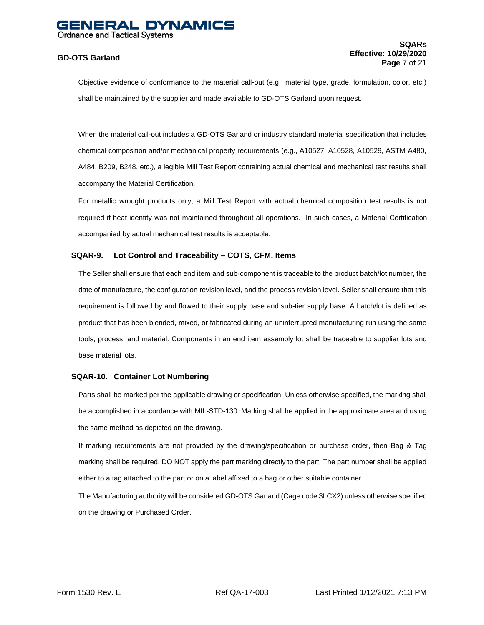Objective evidence of conformance to the material call-out (e.g., material type, grade, formulation, color, etc.) shall be maintained by the supplier and made available to GD-OTS Garland upon request.

When the material call-out includes a GD-OTS Garland or industry standard material specification that includes chemical composition and/or mechanical property requirements (e.g., A10527, A10528, A10529, ASTM A480, A484, B209, B248, etc.), a legible Mill Test Report containing actual chemical and mechanical test results shall accompany the Material Certification.

For metallic wrought products only, a Mill Test Report with actual chemical composition test results is not required if heat identity was not maintained throughout all operations. In such cases, a Material Certification accompanied by actual mechanical test results is acceptable.

#### **SQAR-9. Lot Control and Traceability – COTS, CFM, Items**

The Seller shall ensure that each end item and sub-component is traceable to the product batch/lot number, the date of manufacture, the configuration revision level, and the process revision level. Seller shall ensure that this requirement is followed by and flowed to their supply base and sub-tier supply base. A batch/lot is defined as product that has been blended, mixed, or fabricated during an uninterrupted manufacturing run using the same tools, process, and material. Components in an end item assembly lot shall be traceable to supplier lots and base material lots.

#### **SQAR-10. Container Lot Numbering**

Parts shall be marked per the applicable drawing or specification. Unless otherwise specified, the marking shall be accomplished in accordance with MIL-STD-130. Marking shall be applied in the approximate area and using the same method as depicted on the drawing.

If marking requirements are not provided by the drawing/specification or purchase order, then Bag & Tag marking shall be required. DO NOT apply the part marking directly to the part. The part number shall be applied either to a tag attached to the part or on a label affixed to a bag or other suitable container.

The Manufacturing authority will be considered GD-OTS Garland (Cage code 3LCX2) unless otherwise specified on the drawing or Purchased Order.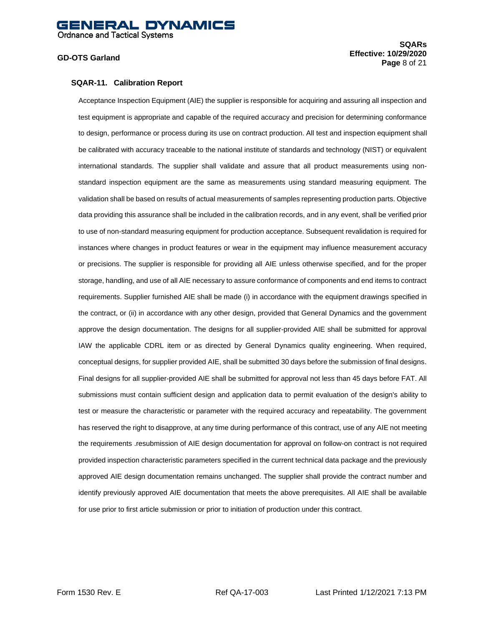#### IERAL DYNAMICS **Ordnance and Tactical Systems**

#### **GD-OTS Garland**

**SQARs Effective: 10/29/2020 Page** 8 of 21

#### **SQAR-11. Calibration Report**

Acceptance Inspection Equipment (AIE) the supplier is responsible for acquiring and assuring all inspection and test equipment is appropriate and capable of the required accuracy and precision for determining conformance to design, performance or process during its use on contract production. All test and inspection equipment shall be calibrated with accuracy traceable to the national institute of standards and technology (NIST) or equivalent international standards. The supplier shall validate and assure that all product measurements using nonstandard inspection equipment are the same as measurements using standard measuring equipment. The validation shall be based on results of actual measurements of samples representing production parts. Objective data providing this assurance shall be included in the calibration records, and in any event, shall be verified prior to use of non-standard measuring equipment for production acceptance. Subsequent revalidation is required for instances where changes in product features or wear in the equipment may influence measurement accuracy or precisions. The supplier is responsible for providing all AIE unless otherwise specified, and for the proper storage, handling, and use of all AIE necessary to assure conformance of components and end items to contract requirements. Supplier furnished AIE shall be made (i) in accordance with the equipment drawings specified in the contract, or (ii) in accordance with any other design, provided that General Dynamics and the government approve the design documentation. The designs for all supplier-provided AIE shall be submitted for approval IAW the applicable CDRL item or as directed by General Dynamics quality engineering. When required, conceptual designs, for supplier provided AIE, shall be submitted 30 days before the submission of final designs. Final designs for all supplier-provided AIE shall be submitted for approval not less than 45 days before FAT. All submissions must contain sufficient design and application data to permit evaluation of the design's ability to test or measure the characteristic or parameter with the required accuracy and repeatability. The government has reserved the right to disapprove, at any time during performance of this contract, use of any AIE not meeting the requirements .resubmission of AIE design documentation for approval on follow-on contract is not required provided inspection characteristic parameters specified in the current technical data package and the previously approved AIE design documentation remains unchanged. The supplier shall provide the contract number and identify previously approved AIE documentation that meets the above prerequisites. All AIE shall be available for use prior to first article submission or prior to initiation of production under this contract.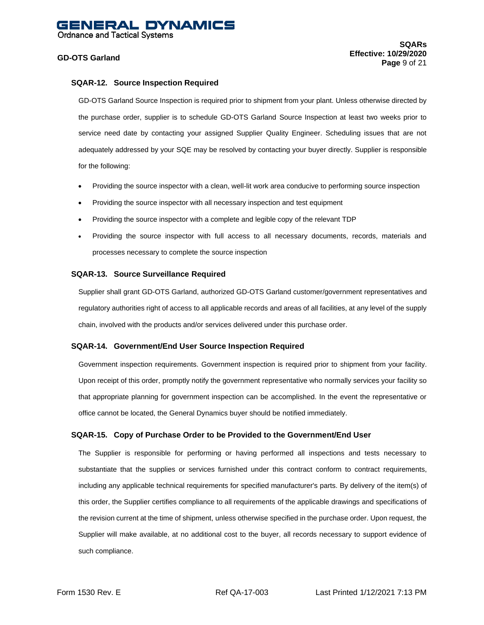#### **SQAR-12. Source Inspection Required**

GD-OTS Garland Source Inspection is required prior to shipment from your plant. Unless otherwise directed by the purchase order, supplier is to schedule GD-OTS Garland Source Inspection at least two weeks prior to service need date by contacting your assigned Supplier Quality Engineer. Scheduling issues that are not adequately addressed by your SQE may be resolved by contacting your buyer directly. Supplier is responsible for the following:

- Providing the source inspector with a clean, well-lit work area conducive to performing source inspection
- Providing the source inspector with all necessary inspection and test equipment
- Providing the source inspector with a complete and legible copy of the relevant TDP
- Providing the source inspector with full access to all necessary documents, records, materials and processes necessary to complete the source inspection

#### **SQAR-13. Source Surveillance Required**

Supplier shall grant GD-OTS Garland, authorized GD-OTS Garland customer/government representatives and regulatory authorities right of access to all applicable records and areas of all facilities, at any level of the supply chain, involved with the products and/or services delivered under this purchase order.

#### **SQAR-14. Government/End User Source Inspection Required**

Government inspection requirements. Government inspection is required prior to shipment from your facility. Upon receipt of this order, promptly notify the government representative who normally services your facility so that appropriate planning for government inspection can be accomplished. In the event the representative or office cannot be located, the General Dynamics buyer should be notified immediately.

#### **SQAR-15. Copy of Purchase Order to be Provided to the Government/End User**

The Supplier is responsible for performing or having performed all inspections and tests necessary to substantiate that the supplies or services furnished under this contract conform to contract requirements, including any applicable technical requirements for specified manufacturer's parts. By delivery of the item(s) of this order, the Supplier certifies compliance to all requirements of the applicable drawings and specifications of the revision current at the time of shipment, unless otherwise specified in the purchase order. Upon request, the Supplier will make available, at no additional cost to the buyer, all records necessary to support evidence of such compliance.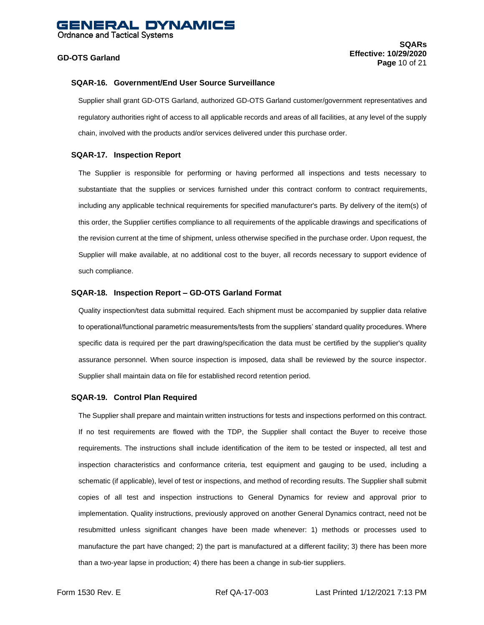#### **SQAR-16. Government/End User Source Surveillance**

Supplier shall grant GD-OTS Garland, authorized GD-OTS Garland customer/government representatives and regulatory authorities right of access to all applicable records and areas of all facilities, at any level of the supply chain, involved with the products and/or services delivered under this purchase order.

#### **SQAR-17. Inspection Report**

The Supplier is responsible for performing or having performed all inspections and tests necessary to substantiate that the supplies or services furnished under this contract conform to contract requirements, including any applicable technical requirements for specified manufacturer's parts. By delivery of the item(s) of this order, the Supplier certifies compliance to all requirements of the applicable drawings and specifications of the revision current at the time of shipment, unless otherwise specified in the purchase order. Upon request, the Supplier will make available, at no additional cost to the buyer, all records necessary to support evidence of such compliance.

#### **SQAR-18. Inspection Report – GD-OTS Garland Format**

Quality inspection/test data submittal required. Each shipment must be accompanied by supplier data relative to operational/functional parametric measurements/tests from the suppliers' standard quality procedures. Where specific data is required per the part drawing/specification the data must be certified by the supplier's quality assurance personnel. When source inspection is imposed, data shall be reviewed by the source inspector. Supplier shall maintain data on file for established record retention period.

#### **SQAR-19. Control Plan Required**

The Supplier shall prepare and maintain written instructions for tests and inspections performed on this contract. If no test requirements are flowed with the TDP, the Supplier shall contact the Buyer to receive those requirements. The instructions shall include identification of the item to be tested or inspected, all test and inspection characteristics and conformance criteria, test equipment and gauging to be used, including a schematic (if applicable), level of test or inspections, and method of recording results. The Supplier shall submit copies of all test and inspection instructions to General Dynamics for review and approval prior to implementation. Quality instructions, previously approved on another General Dynamics contract, need not be resubmitted unless significant changes have been made whenever: 1) methods or processes used to manufacture the part have changed; 2) the part is manufactured at a different facility; 3) there has been more than a two-year lapse in production; 4) there has been a change in sub-tier suppliers.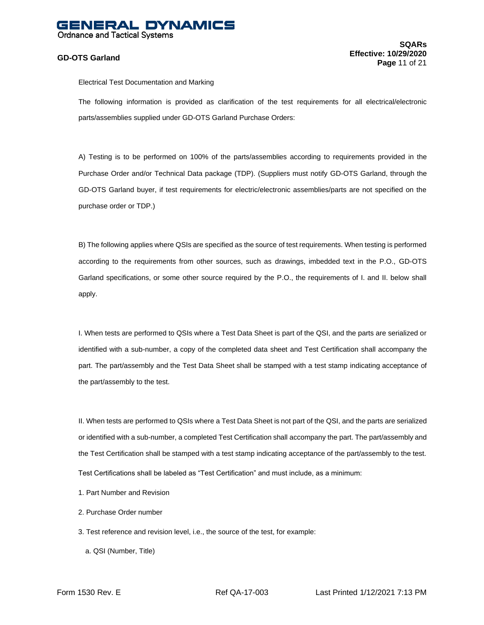

Electrical Test Documentation and Marking

The following information is provided as clarification of the test requirements for all electrical/electronic parts/assemblies supplied under GD-OTS Garland Purchase Orders:

A) Testing is to be performed on 100% of the parts/assemblies according to requirements provided in the Purchase Order and/or Technical Data package (TDP). (Suppliers must notify GD-OTS Garland, through the GD-OTS Garland buyer, if test requirements for electric/electronic assemblies/parts are not specified on the purchase order or TDP.)

B) The following applies where QSIs are specified as the source of test requirements. When testing is performed according to the requirements from other sources, such as drawings, imbedded text in the P.O., GD-OTS Garland specifications, or some other source required by the P.O., the requirements of I. and II. below shall apply.

I. When tests are performed to QSIs where a Test Data Sheet is part of the QSI, and the parts are serialized or identified with a sub-number, a copy of the completed data sheet and Test Certification shall accompany the part. The part/assembly and the Test Data Sheet shall be stamped with a test stamp indicating acceptance of the part/assembly to the test.

II. When tests are performed to QSIs where a Test Data Sheet is not part of the QSI, and the parts are serialized or identified with a sub-number, a completed Test Certification shall accompany the part. The part/assembly and the Test Certification shall be stamped with a test stamp indicating acceptance of the part/assembly to the test. Test Certifications shall be labeled as "Test Certification" and must include, as a minimum:

- 1. Part Number and Revision
- 2. Purchase Order number
- 3. Test reference and revision level, i.e., the source of the test, for example:
	- a. QSI (Number, Title)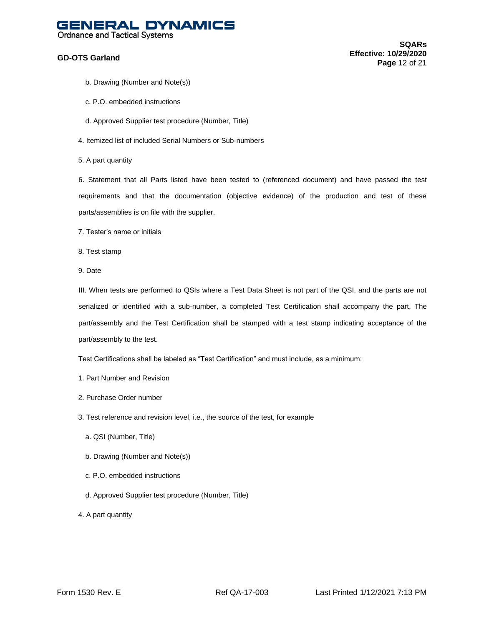# GENERAL DYNAMICS

**Ordnance and Tactical Systems** 

#### **GD-OTS Garland**

- b. Drawing (Number and Note(s))
- c. P.O. embedded instructions
- d. Approved Supplier test procedure (Number, Title)
- 4. Itemized list of included Serial Numbers or Sub-numbers
- 5. A part quantity

6. Statement that all Parts listed have been tested to (referenced document) and have passed the test requirements and that the documentation (objective evidence) of the production and test of these parts/assemblies is on file with the supplier.

- 7. Tester's name or initials
- 8. Test stamp
- 9. Date

III. When tests are performed to QSIs where a Test Data Sheet is not part of the QSI, and the parts are not serialized or identified with a sub-number, a completed Test Certification shall accompany the part. The part/assembly and the Test Certification shall be stamped with a test stamp indicating acceptance of the part/assembly to the test.

Test Certifications shall be labeled as "Test Certification" and must include, as a minimum:

- 1. Part Number and Revision
- 2. Purchase Order number
- 3. Test reference and revision level, i.e., the source of the test, for example
	- a. QSI (Number, Title)
	- b. Drawing (Number and Note(s))
	- c. P.O. embedded instructions
	- d. Approved Supplier test procedure (Number, Title)
- 4. A part quantity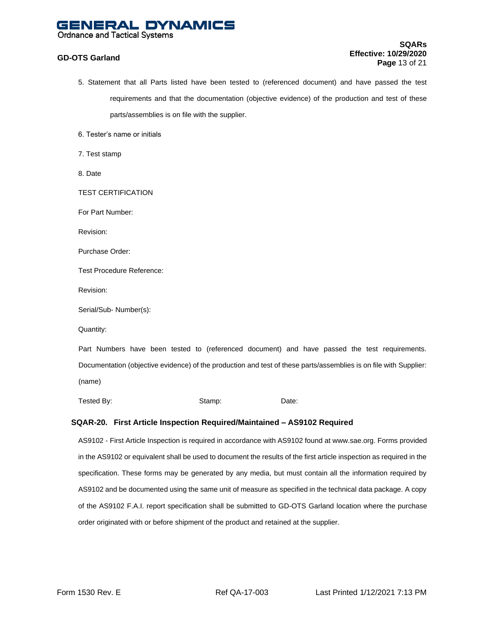## IERAL DYNAMICS

**Ordnance and Tactical Systems** 

#### **GD-OTS Garland**

- 5. Statement that all Parts listed have been tested to (referenced document) and have passed the test requirements and that the documentation (objective evidence) of the production and test of these parts/assemblies is on file with the supplier.
- 6. Tester's name or initials
- 7. Test stamp
- 8. Date

TEST CERTIFICATION

For Part Number:

Revision:

Purchase Order:

Test Procedure Reference:

Revision:

Serial/Sub- Number(s):

Quantity:

Part Numbers have been tested to (referenced document) and have passed the test requirements. Documentation (objective evidence) of the production and test of these parts/assemblies is on file with Supplier: (name)

Tested By: The Stamp: Stamp: Date:

#### **SQAR-20. First Article Inspection Required/Maintained – AS9102 Required**

AS9102 - First Article Inspection is required in accordance with AS9102 found at www.sae.org. Forms provided in the AS9102 or equivalent shall be used to document the results of the first article inspection as required in the specification. These forms may be generated by any media, but must contain all the information required by AS9102 and be documented using the same unit of measure as specified in the technical data package. A copy of the AS9102 F.A.I. report specification shall be submitted to GD-OTS Garland location where the purchase order originated with or before shipment of the product and retained at the supplier.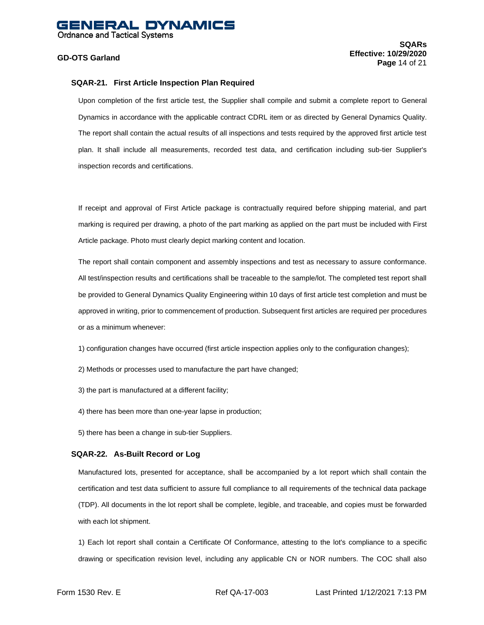#### **SQARs Effective: 10/29/2020 Page** 14 of 21

#### **SQAR-21. First Article Inspection Plan Required**

Upon completion of the first article test, the Supplier shall compile and submit a complete report to General Dynamics in accordance with the applicable contract CDRL item or as directed by General Dynamics Quality. The report shall contain the actual results of all inspections and tests required by the approved first article test plan. It shall include all measurements, recorded test data, and certification including sub-tier Supplier's inspection records and certifications.

If receipt and approval of First Article package is contractually required before shipping material, and part marking is required per drawing, a photo of the part marking as applied on the part must be included with First Article package. Photo must clearly depict marking content and location.

The report shall contain component and assembly inspections and test as necessary to assure conformance. All test/inspection results and certifications shall be traceable to the sample/lot. The completed test report shall be provided to General Dynamics Quality Engineering within 10 days of first article test completion and must be approved in writing, prior to commencement of production. Subsequent first articles are required per procedures or as a minimum whenever:

- 1) configuration changes have occurred (first article inspection applies only to the configuration changes);
- 2) Methods or processes used to manufacture the part have changed;
- 3) the part is manufactured at a different facility;
- 4) there has been more than one-year lapse in production;
- 5) there has been a change in sub-tier Suppliers.

#### **SQAR-22. As-Built Record or Log**

Manufactured lots, presented for acceptance, shall be accompanied by a lot report which shall contain the certification and test data sufficient to assure full compliance to all requirements of the technical data package (TDP). All documents in the lot report shall be complete, legible, and traceable, and copies must be forwarded with each lot shipment.

1) Each lot report shall contain a Certificate Of Conformance, attesting to the lot's compliance to a specific drawing or specification revision level, including any applicable CN or NOR numbers. The COC shall also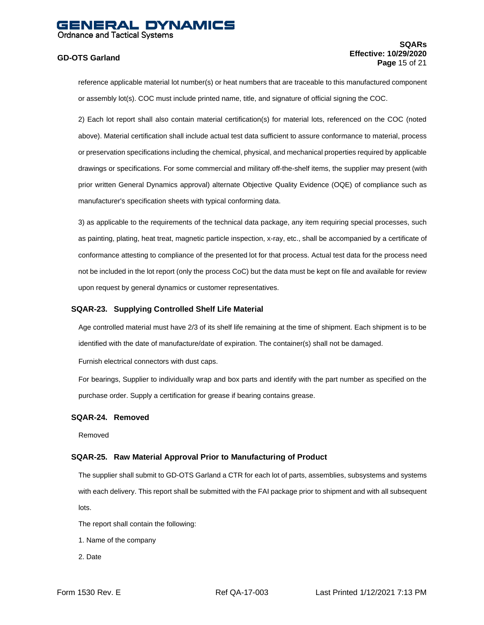#### **SQARs Effective: 10/29/2020 Page** 15 of 21

reference applicable material lot number(s) or heat numbers that are traceable to this manufactured component or assembly lot(s). COC must include printed name, title, and signature of official signing the COC.

2) Each lot report shall also contain material certification(s) for material lots, referenced on the COC (noted above). Material certification shall include actual test data sufficient to assure conformance to material, process or preservation specifications including the chemical, physical, and mechanical properties required by applicable drawings or specifications. For some commercial and military off-the-shelf items, the supplier may present (with prior written General Dynamics approval) alternate Objective Quality Evidence (OQE) of compliance such as manufacturer's specification sheets with typical conforming data.

3) as applicable to the requirements of the technical data package, any item requiring special processes, such as painting, plating, heat treat, magnetic particle inspection, x-ray, etc., shall be accompanied by a certificate of conformance attesting to compliance of the presented lot for that process. Actual test data for the process need not be included in the lot report (only the process CoC) but the data must be kept on file and available for review upon request by general dynamics or customer representatives.

#### **SQAR-23. Supplying Controlled Shelf Life Material**

Age controlled material must have 2/3 of its shelf life remaining at the time of shipment. Each shipment is to be identified with the date of manufacture/date of expiration. The container(s) shall not be damaged.

Furnish electrical connectors with dust caps.

For bearings, Supplier to individually wrap and box parts and identify with the part number as specified on the purchase order. Supply a certification for grease if bearing contains grease.

#### **SQAR-24. Removed**

Removed

#### **SQAR-25. Raw Material Approval Prior to Manufacturing of Product**

The supplier shall submit to GD-OTS Garland a CTR for each lot of parts, assemblies, subsystems and systems with each delivery. This report shall be submitted with the FAI package prior to shipment and with all subsequent lots.

The report shall contain the following:

- 1. Name of the company
- 2. Date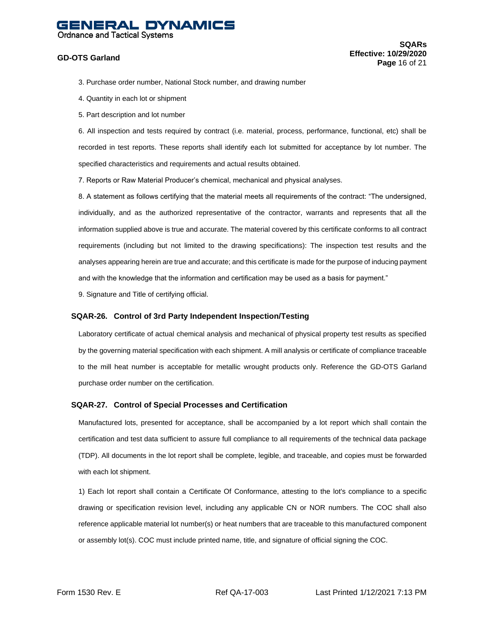## ENERAL DYNAMICS

**Ordnance and Tactical Systems** 

#### **GD-OTS Garland**

- 3. Purchase order number, National Stock number, and drawing number
- 4. Quantity in each lot or shipment
- 5. Part description and lot number

6. All inspection and tests required by contract (i.e. material, process, performance, functional, etc) shall be recorded in test reports. These reports shall identify each lot submitted for acceptance by lot number. The specified characteristics and requirements and actual results obtained.

7. Reports or Raw Material Producer's chemical, mechanical and physical analyses.

8. A statement as follows certifying that the material meets all requirements of the contract: "The undersigned, individually, and as the authorized representative of the contractor, warrants and represents that all the information supplied above is true and accurate. The material covered by this certificate conforms to all contract requirements (including but not limited to the drawing specifications): The inspection test results and the analyses appearing herein are true and accurate; and this certificate is made for the purpose of inducing payment and with the knowledge that the information and certification may be used as a basis for payment."

9. Signature and Title of certifying official.

#### **SQAR-26. Control of 3rd Party Independent Inspection/Testing**

Laboratory certificate of actual chemical analysis and mechanical of physical property test results as specified by the governing material specification with each shipment. A mill analysis or certificate of compliance traceable to the mill heat number is acceptable for metallic wrought products only. Reference the GD-OTS Garland purchase order number on the certification.

#### **SQAR-27. Control of Special Processes and Certification**

Manufactured lots, presented for acceptance, shall be accompanied by a lot report which shall contain the certification and test data sufficient to assure full compliance to all requirements of the technical data package (TDP). All documents in the lot report shall be complete, legible, and traceable, and copies must be forwarded with each lot shipment.

1) Each lot report shall contain a Certificate Of Conformance, attesting to the lot's compliance to a specific drawing or specification revision level, including any applicable CN or NOR numbers. The COC shall also reference applicable material lot number(s) or heat numbers that are traceable to this manufactured component or assembly lot(s). COC must include printed name, title, and signature of official signing the COC.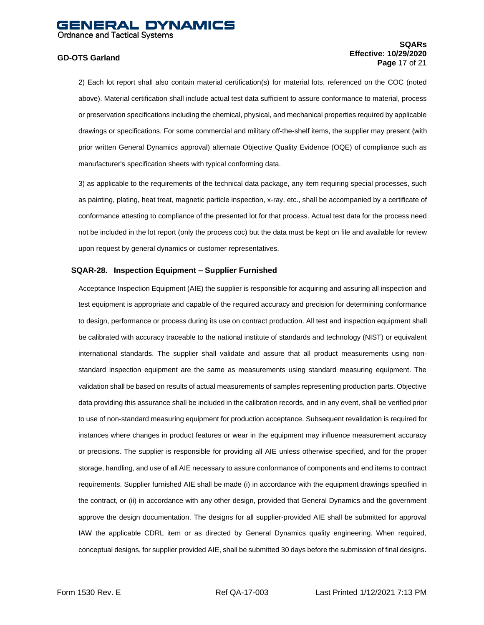#### **SQARs Effective: 10/29/2020 Page** 17 of 21

2) Each lot report shall also contain material certification(s) for material lots, referenced on the COC (noted above). Material certification shall include actual test data sufficient to assure conformance to material, process or preservation specifications including the chemical, physical, and mechanical properties required by applicable drawings or specifications. For some commercial and military off-the-shelf items, the supplier may present (with prior written General Dynamics approval) alternate Objective Quality Evidence (OQE) of compliance such as manufacturer's specification sheets with typical conforming data.

3) as applicable to the requirements of the technical data package, any item requiring special processes, such as painting, plating, heat treat, magnetic particle inspection, x-ray, etc., shall be accompanied by a certificate of conformance attesting to compliance of the presented lot for that process. Actual test data for the process need not be included in the lot report (only the process coc) but the data must be kept on file and available for review upon request by general dynamics or customer representatives.

#### **SQAR-28. Inspection Equipment – Supplier Furnished**

Acceptance Inspection Equipment (AIE) the supplier is responsible for acquiring and assuring all inspection and test equipment is appropriate and capable of the required accuracy and precision for determining conformance to design, performance or process during its use on contract production. All test and inspection equipment shall be calibrated with accuracy traceable to the national institute of standards and technology (NIST) or equivalent international standards. The supplier shall validate and assure that all product measurements using nonstandard inspection equipment are the same as measurements using standard measuring equipment. The validation shall be based on results of actual measurements of samples representing production parts. Objective data providing this assurance shall be included in the calibration records, and in any event, shall be verified prior to use of non-standard measuring equipment for production acceptance. Subsequent revalidation is required for instances where changes in product features or wear in the equipment may influence measurement accuracy or precisions. The supplier is responsible for providing all AIE unless otherwise specified, and for the proper storage, handling, and use of all AIE necessary to assure conformance of components and end items to contract requirements. Supplier furnished AIE shall be made (i) in accordance with the equipment drawings specified in the contract, or (ii) in accordance with any other design, provided that General Dynamics and the government approve the design documentation. The designs for all supplier-provided AIE shall be submitted for approval IAW the applicable CDRL item or as directed by General Dynamics quality engineering. When required, conceptual designs, for supplier provided AIE, shall be submitted 30 days before the submission of final designs.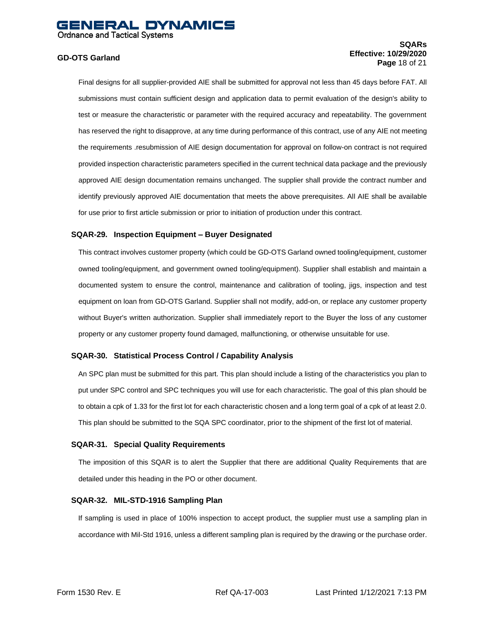#### **SQARs Effective: 10/29/2020 Page** 18 of 21

Final designs for all supplier-provided AIE shall be submitted for approval not less than 45 days before FAT. All submissions must contain sufficient design and application data to permit evaluation of the design's ability to test or measure the characteristic or parameter with the required accuracy and repeatability. The government has reserved the right to disapprove, at any time during performance of this contract, use of any AIE not meeting the requirements .resubmission of AIE design documentation for approval on follow-on contract is not required provided inspection characteristic parameters specified in the current technical data package and the previously approved AIE design documentation remains unchanged. The supplier shall provide the contract number and identify previously approved AIE documentation that meets the above prerequisites. All AIE shall be available for use prior to first article submission or prior to initiation of production under this contract.

#### **SQAR-29. Inspection Equipment – Buyer Designated**

This contract involves customer property (which could be GD-OTS Garland owned tooling/equipment, customer owned tooling/equipment, and government owned tooling/equipment). Supplier shall establish and maintain a documented system to ensure the control, maintenance and calibration of tooling, jigs, inspection and test equipment on loan from GD-OTS Garland. Supplier shall not modify, add-on, or replace any customer property without Buyer's written authorization. Supplier shall immediately report to the Buyer the loss of any customer property or any customer property found damaged, malfunctioning, or otherwise unsuitable for use.

#### **SQAR-30. Statistical Process Control / Capability Analysis**

An SPC plan must be submitted for this part. This plan should include a listing of the characteristics you plan to put under SPC control and SPC techniques you will use for each characteristic. The goal of this plan should be to obtain a cpk of 1.33 for the first lot for each characteristic chosen and a long term goal of a cpk of at least 2.0. This plan should be submitted to the SQA SPC coordinator, prior to the shipment of the first lot of material.

#### **SQAR-31. Special Quality Requirements**

The imposition of this SQAR is to alert the Supplier that there are additional Quality Requirements that are detailed under this heading in the PO or other document.

#### **SQAR-32. MIL-STD-1916 Sampling Plan**

If sampling is used in place of 100% inspection to accept product, the supplier must use a sampling plan in accordance with Mil-Std 1916, unless a different sampling plan is required by the drawing or the purchase order.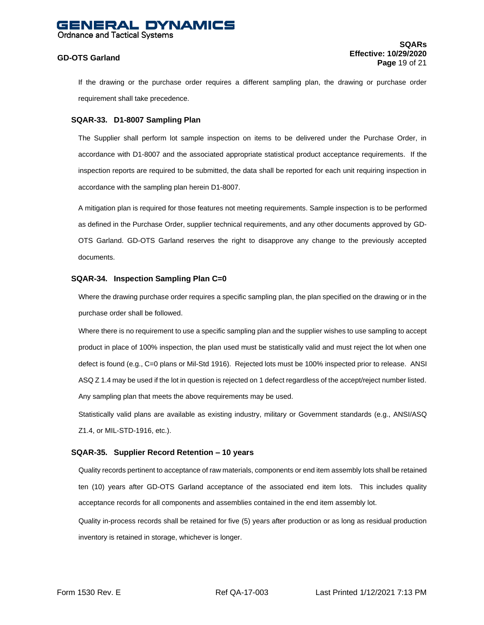If the drawing or the purchase order requires a different sampling plan, the drawing or purchase order requirement shall take precedence.

#### **SQAR-33. D1-8007 Sampling Plan**

The Supplier shall perform lot sample inspection on items to be delivered under the Purchase Order, in accordance with D1-8007 and the associated appropriate statistical product acceptance requirements. If the inspection reports are required to be submitted, the data shall be reported for each unit requiring inspection in accordance with the sampling plan herein D1-8007.

A mitigation plan is required for those features not meeting requirements. Sample inspection is to be performed as defined in the Purchase Order, supplier technical requirements, and any other documents approved by GD-OTS Garland. GD-OTS Garland reserves the right to disapprove any change to the previously accepted documents.

#### **SQAR-34. Inspection Sampling Plan C=0**

Where the drawing purchase order requires a specific sampling plan, the plan specified on the drawing or in the purchase order shall be followed.

Where there is no requirement to use a specific sampling plan and the supplier wishes to use sampling to accept product in place of 100% inspection, the plan used must be statistically valid and must reject the lot when one defect is found (e.g., C=0 plans or Mil-Std 1916). Rejected lots must be 100% inspected prior to release. ANSI ASQ Z 1.4 may be used if the lot in question is rejected on 1 defect regardless of the accept/reject number listed. Any sampling plan that meets the above requirements may be used.

Statistically valid plans are available as existing industry, military or Government standards (e.g., ANSI/ASQ Z1.4, or MIL-STD-1916, etc.).

#### **SQAR-35. Supplier Record Retention – 10 years**

Quality records pertinent to acceptance of raw materials, components or end item assembly lots shall be retained ten (10) years after GD-OTS Garland acceptance of the associated end item lots. This includes quality acceptance records for all components and assemblies contained in the end item assembly lot.

Quality in-process records shall be retained for five (5) years after production or as long as residual production inventory is retained in storage, whichever is longer.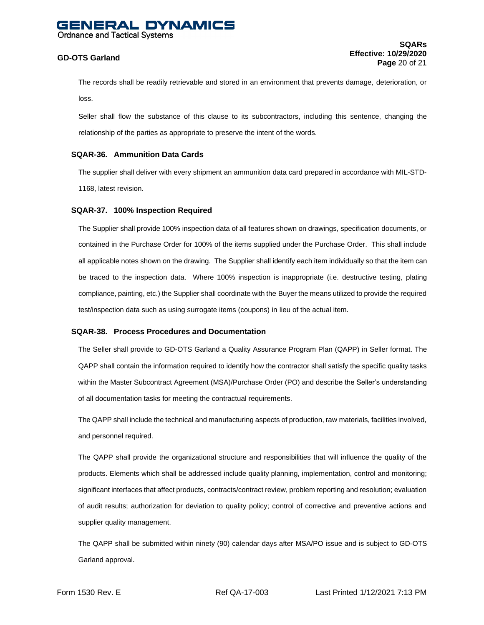#### IERAL DYNAMICS **Ordnance and Tactical Systems**

#### **GD-OTS Garland**

The records shall be readily retrievable and stored in an environment that prevents damage, deterioration, or loss.

Seller shall flow the substance of this clause to its subcontractors, including this sentence, changing the relationship of the parties as appropriate to preserve the intent of the words.

#### **SQAR-36. Ammunition Data Cards**

The supplier shall deliver with every shipment an ammunition data card prepared in accordance with MIL-STD-1168, latest revision.

#### **SQAR-37. 100% Inspection Required**

The Supplier shall provide 100% inspection data of all features shown on drawings, specification documents, or contained in the Purchase Order for 100% of the items supplied under the Purchase Order. This shall include all applicable notes shown on the drawing. The Supplier shall identify each item individually so that the item can be traced to the inspection data. Where 100% inspection is inappropriate (i.e. destructive testing, plating compliance, painting, etc.) the Supplier shall coordinate with the Buyer the means utilized to provide the required test/inspection data such as using surrogate items (coupons) in lieu of the actual item.

#### **SQAR-38. Process Procedures and Documentation**

The Seller shall provide to GD-OTS Garland a Quality Assurance Program Plan (QAPP) in Seller format. The QAPP shall contain the information required to identify how the contractor shall satisfy the specific quality tasks within the Master Subcontract Agreement (MSA)/Purchase Order (PO) and describe the Seller's understanding of all documentation tasks for meeting the contractual requirements.

The QAPP shall include the technical and manufacturing aspects of production, raw materials, facilities involved, and personnel required.

The QAPP shall provide the organizational structure and responsibilities that will influence the quality of the products. Elements which shall be addressed include quality planning, implementation, control and monitoring; significant interfaces that affect products, contracts/contract review, problem reporting and resolution; evaluation of audit results; authorization for deviation to quality policy; control of corrective and preventive actions and supplier quality management.

The QAPP shall be submitted within ninety (90) calendar days after MSA/PO issue and is subject to GD-OTS Garland approval.